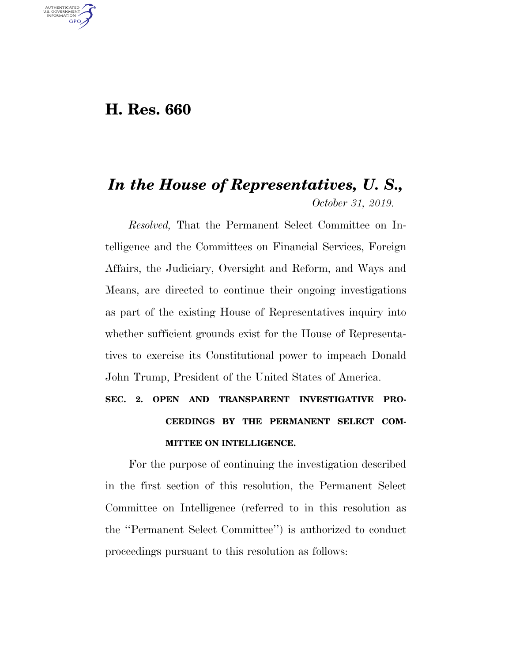### **H. Res. 660**

U.S. GOVERNMENT **GPO** 

## *In the House of Representatives, U. S., October 31, 2019.*

*Resolved,* That the Permanent Select Committee on Intelligence and the Committees on Financial Services, Foreign Affairs, the Judiciary, Oversight and Reform, and Ways and Means, are directed to continue their ongoing investigations as part of the existing House of Representatives inquiry into whether sufficient grounds exist for the House of Representatives to exercise its Constitutional power to impeach Donald John Trump, President of the United States of America.

# **SEC. 2. OPEN AND TRANSPARENT INVESTIGATIVE PRO-CEEDINGS BY THE PERMANENT SELECT COM-MITTEE ON INTELLIGENCE.**

For the purpose of continuing the investigation described in the first section of this resolution, the Permanent Select Committee on Intelligence (referred to in this resolution as the ''Permanent Select Committee'') is authorized to conduct proceedings pursuant to this resolution as follows: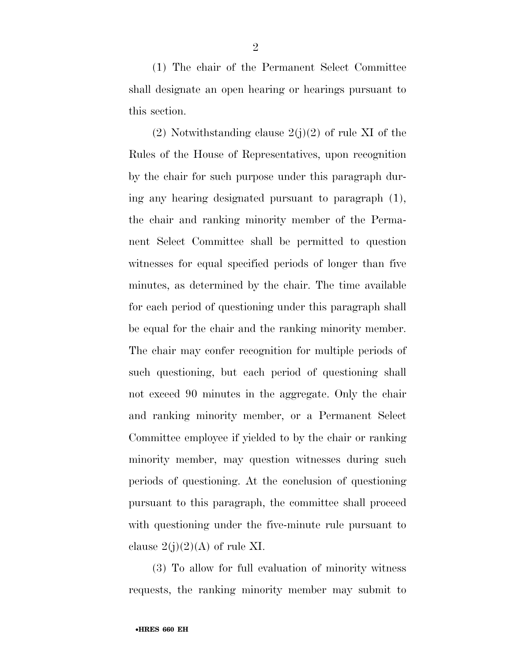(1) The chair of the Permanent Select Committee shall designate an open hearing or hearings pursuant to this section.

 $(2)$  Notwithstanding clause  $2(j)(2)$  of rule XI of the Rules of the House of Representatives, upon recognition by the chair for such purpose under this paragraph during any hearing designated pursuant to paragraph (1), the chair and ranking minority member of the Permanent Select Committee shall be permitted to question witnesses for equal specified periods of longer than five minutes, as determined by the chair. The time available for each period of questioning under this paragraph shall be equal for the chair and the ranking minority member. The chair may confer recognition for multiple periods of such questioning, but each period of questioning shall not exceed 90 minutes in the aggregate. Only the chair and ranking minority member, or a Permanent Select Committee employee if yielded to by the chair or ranking minority member, may question witnesses during such periods of questioning. At the conclusion of questioning pursuant to this paragraph, the committee shall proceed with questioning under the five-minute rule pursuant to clause  $2(j)(2)(A)$  of rule XI.

(3) To allow for full evaluation of minority witness requests, the ranking minority member may submit to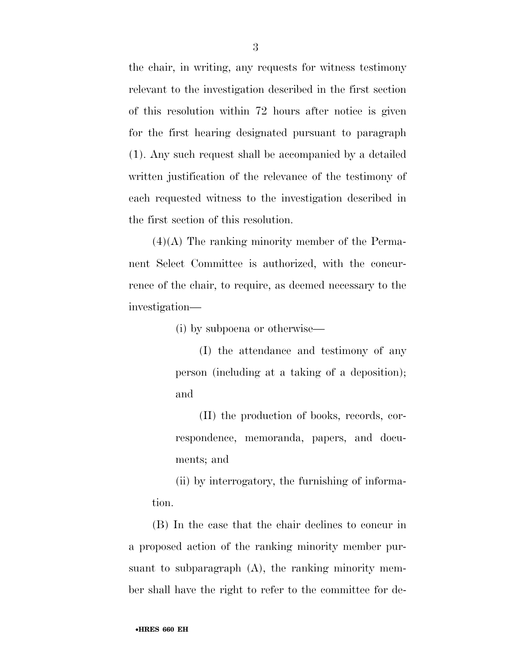the chair, in writing, any requests for witness testimony relevant to the investigation described in the first section of this resolution within 72 hours after notice is given for the first hearing designated pursuant to paragraph (1). Any such request shall be accompanied by a detailed written justification of the relevance of the testimony of each requested witness to the investigation described in the first section of this resolution.

 $(4)(A)$  The ranking minority member of the Permanent Select Committee is authorized, with the concurrence of the chair, to require, as deemed necessary to the investigation—

(i) by subpoena or otherwise—

(I) the attendance and testimony of any person (including at a taking of a deposition); and

(II) the production of books, records, correspondence, memoranda, papers, and documents; and

(ii) by interrogatory, the furnishing of information.

(B) In the case that the chair declines to concur in a proposed action of the ranking minority member pursuant to subparagraph (A), the ranking minority member shall have the right to refer to the committee for de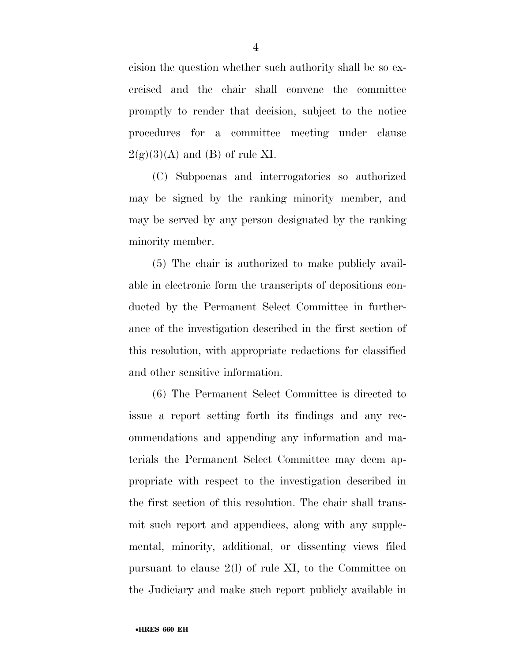cision the question whether such authority shall be so exercised and the chair shall convene the committee promptly to render that decision, subject to the notice procedures for a committee meeting under clause  $2(g)(3)(A)$  and (B) of rule XI.

(C) Subpoenas and interrogatories so authorized may be signed by the ranking minority member, and may be served by any person designated by the ranking minority member.

(5) The chair is authorized to make publicly available in electronic form the transcripts of depositions conducted by the Permanent Select Committee in furtherance of the investigation described in the first section of this resolution, with appropriate redactions for classified and other sensitive information.

(6) The Permanent Select Committee is directed to issue a report setting forth its findings and any recommendations and appending any information and materials the Permanent Select Committee may deem appropriate with respect to the investigation described in the first section of this resolution. The chair shall transmit such report and appendices, along with any supplemental, minority, additional, or dissenting views filed pursuant to clause 2(l) of rule XI, to the Committee on the Judiciary and make such report publicly available in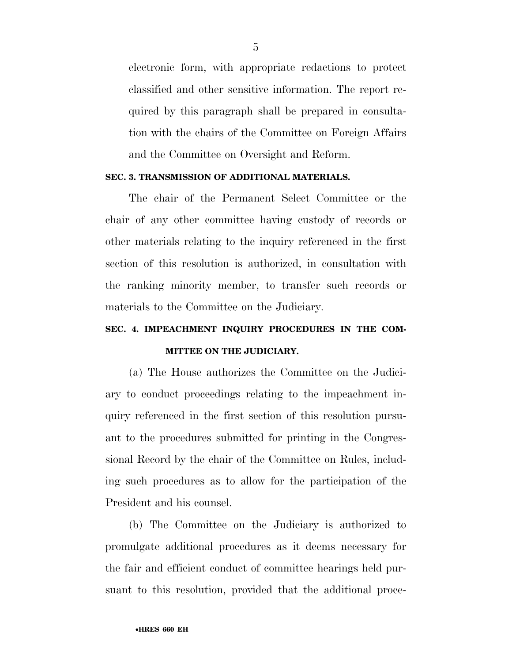electronic form, with appropriate redactions to protect classified and other sensitive information. The report required by this paragraph shall be prepared in consultation with the chairs of the Committee on Foreign Affairs and the Committee on Oversight and Reform.

#### **SEC. 3. TRANSMISSION OF ADDITIONAL MATERIALS.**

The chair of the Permanent Select Committee or the chair of any other committee having custody of records or other materials relating to the inquiry referenced in the first section of this resolution is authorized, in consultation with the ranking minority member, to transfer such records or materials to the Committee on the Judiciary.

## **SEC. 4. IMPEACHMENT INQUIRY PROCEDURES IN THE COM-MITTEE ON THE JUDICIARY.**

(a) The House authorizes the Committee on the Judiciary to conduct proceedings relating to the impeachment inquiry referenced in the first section of this resolution pursuant to the procedures submitted for printing in the Congressional Record by the chair of the Committee on Rules, including such procedures as to allow for the participation of the President and his counsel.

(b) The Committee on the Judiciary is authorized to promulgate additional procedures as it deems necessary for the fair and efficient conduct of committee hearings held pursuant to this resolution, provided that the additional proce-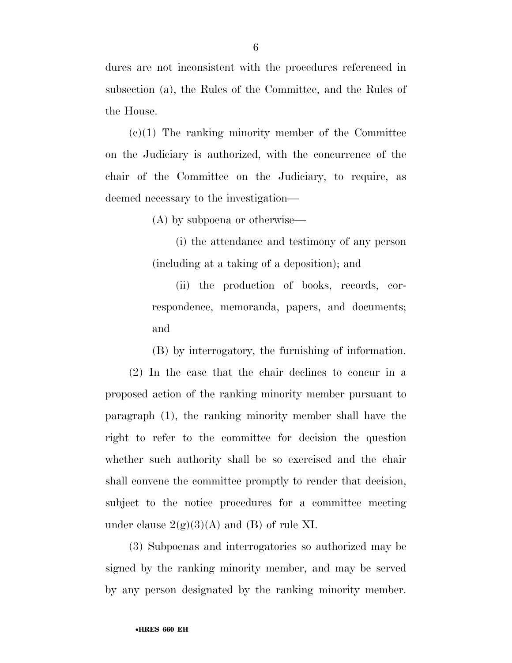dures are not inconsistent with the procedures referenced in subsection (a), the Rules of the Committee, and the Rules of the House.

 $(c)(1)$  The ranking minority member of the Committee on the Judiciary is authorized, with the concurrence of the chair of the Committee on the Judiciary, to require, as deemed necessary to the investigation—

(A) by subpoena or otherwise—

(i) the attendance and testimony of any person (including at a taking of a deposition); and

(ii) the production of books, records, correspondence, memoranda, papers, and documents; and

(B) by interrogatory, the furnishing of information.

(2) In the case that the chair declines to concur in a proposed action of the ranking minority member pursuant to paragraph (1), the ranking minority member shall have the right to refer to the committee for decision the question whether such authority shall be so exercised and the chair shall convene the committee promptly to render that decision, subject to the notice procedures for a committee meeting under clause  $2(g)(3)(A)$  and (B) of rule XI.

(3) Subpoenas and interrogatories so authorized may be signed by the ranking minority member, and may be served by any person designated by the ranking minority member.